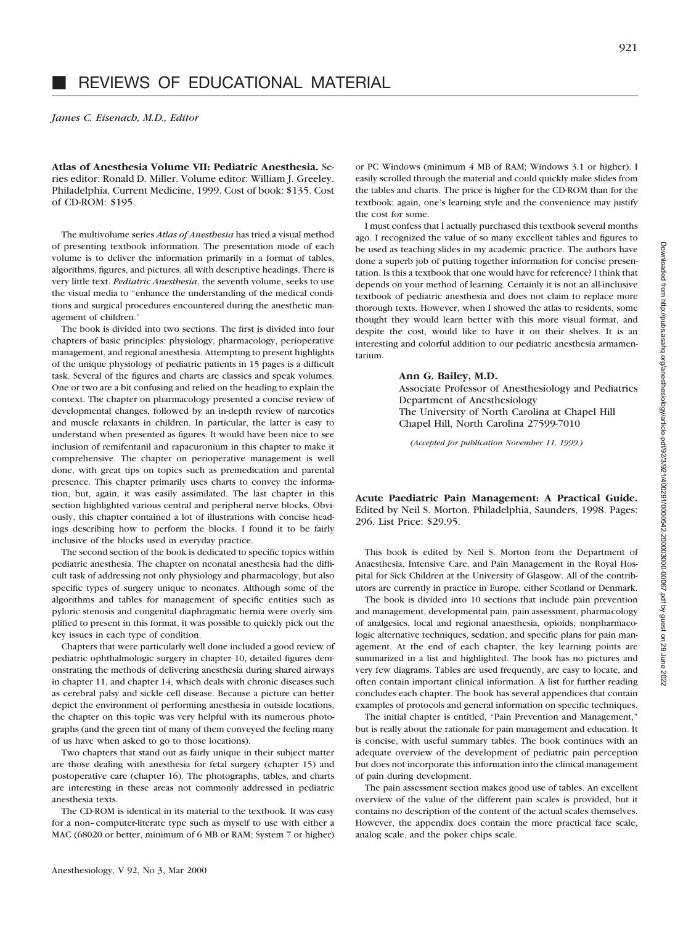Downloaded from http://pubs.asahq.org/anesthesiology/article-pdf/92/3/921/400291/0000542-200003000-00067.pdf by guest on 29 June 2022 Downloaded from http://pubs.asahq.org/anesthesiology/article-pdf/92/3/921/400291/0000542-200003000-00067.pdf by guest on 29 June 2022

*James C. Eisenach, M.D., Editor*

**Atlas of Anesthesia Volume VII: Pediatric Anesthesia.** Series editor: Ronald D. Miller. Volume editor: William J. Greeley. Philadelphia, Current Medicine, 1999. Cost of book: \$135. Cost of CD-ROM: \$195.

The multivolume series *Atlas of Anesthesia* has tried a visual method of presenting textbook information. The presentation mode of each volume is to deliver the information primarily in a format of tables, algorithms, figures, and pictures, all with descriptive headings. There is very little text. *Pediatric Anesthesia*, the seventh volume, seeks to use the visual media to "enhance the understanding of the medical conditions and surgical procedures encountered during the anesthetic management of children."

The book is divided into two sections. The first is divided into four chapters of basic principles: physiology, pharmacology, perioperative management, and regional anesthesia. Attempting to present highlights of the unique physiology of pediatric patients in 15 pages is a difficult task. Several of the figures and charts are classics and speak volumes. One or two are a bit confusing and relied on the heading to explain the context. The chapter on pharmacology presented a concise review of developmental changes, followed by an in-depth review of narcotics and muscle relaxants in children. In particular, the latter is easy to understand when presented as figures. It would have been nice to see inclusion of remifentanil and rapacuronium in this chapter to make it comprehensive. The chapter on perioperative management is well done, with great tips on topics such as premedication and parental presence. This chapter primarily uses charts to convey the information, but, again, it was easily assimilated. The last chapter in this section highlighted various central and peripheral nerve blocks. Obviously, this chapter contained a lot of illustrations with concise headings describing how to perform the blocks. I found it to be fairly inclusive of the blocks used in everyday practice.

The second section of the book is dedicated to specific topics within pediatric anesthesia. The chapter on neonatal anesthesia had the difficult task of addressing not only physiology and pharmacology, but also specific types of surgery unique to neonates. Although some of the algorithms and tables for management of specific entities such as pyloric stenosis and congenital diaphragmatic hernia were overly simplified to present in this format, it was possible to quickly pick out the key issues in each type of condition.

Chapters that were particularly well done included a good review of pediatric ophthalmologic surgery in chapter 10, detailed figures demonstrating the methods of delivering anesthesia during shared airways in chapter 11, and chapter 14, which deals with chronic diseases such as cerebral palsy and sickle cell disease. Because a picture can better depict the environment of performing anesthesia in outside locations, the chapter on this topic was very helpful with its numerous photographs (and the green tint of many of them conveyed the feeling many of us have when asked to go to those locations).

Two chapters that stand out as fairly unique in their subject matter are those dealing with anesthesia for fetal surgery (chapter 15) and postoperative care (chapter 16). The photographs, tables, and charts are interesting in these areas not commonly addressed in pediatric anesthesia texts.

The CD-ROM is identical in its material to the textbook. It was easy for a non–computer-literate type such as myself to use with either a MAC (68020 or better, minimum of 6 MB or RAM; System 7 or higher)

or PC Windows (minimum 4 MB of RAM; Windows 3.1 or higher). I easily scrolled through the material and could quickly make slides from the tables and charts. The price is higher for the CD-ROM than for the textbook; again, one's learning style and the convenience may justify the cost for some.

I must confess that I actually purchased this textbook several months ago. I recognized the value of so many excellent tables and figures to be used as teaching slides in my academic practice. The authors have done a superb job of putting together information for concise presentation. Is this a textbook that one would have for reference? I think that depends on your method of learning. Certainly it is not an all-inclusive textbook of pediatric anesthesia and does not claim to replace more thorough texts. However, when I showed the atlas to residents, some thought they would learn better with this more visual format, and despite the cost, would like to have it on their shelves. It is an interesting and colorful addition to our pediatric anesthesia armamentarium.

## **Ann G. Bailey, M.D.**

Associate Professor of Anesthesiology and Pediatrics Department of Anesthesiology The University of North Carolina at Chapel Hill Chapel Hill, North Carolina 27599-7010

*(Accepted for publication November 11, 1999.)*

**Acute Paediatric Pain Management: A Practical Guide.** Edited by Neil S. Morton. Philadelphia, Saunders, 1998. Pages: 296. List Price: \$29.95.

This book is edited by Neil S. Morton from the Department of Anaesthesia, Intensive Care, and Pain Management in the Royal Hospital for Sick Children at the University of Glasgow. All of the contributors are currently in practice in Europe, either Scotland or Denmark.

The book is divided into 10 sections that include pain prevention and management, developmental pain, pain assessment, pharmacology of analgesics, local and regional anaesthesia, opioids, nonpharmacologic alternative techniques, sedation, and specific plans for pain management. At the end of each chapter, the key learning points are summarized in a list and highlighted. The book has no pictures and very few diagrams. Tables are used frequently, are easy to locate, and often contain important clinical information. A list for further reading concludes each chapter. The book has several appendices that contain examples of protocols and general information on specific techniques.

The initial chapter is entitled, "Pain Prevention and Management," but is really about the rationale for pain management and education. It is concise, with useful summary tables. The book continues with an adequate overview of the development of pediatric pain perception but does not incorporate this information into the clinical management of pain during development.

The pain assessment section makes good use of tables. An excellent overview of the value of the different pain scales is provided, but it contains no description of the content of the actual scales themselves. However, the appendix does contain the more practical face scale, analog scale, and the poker chips scale.